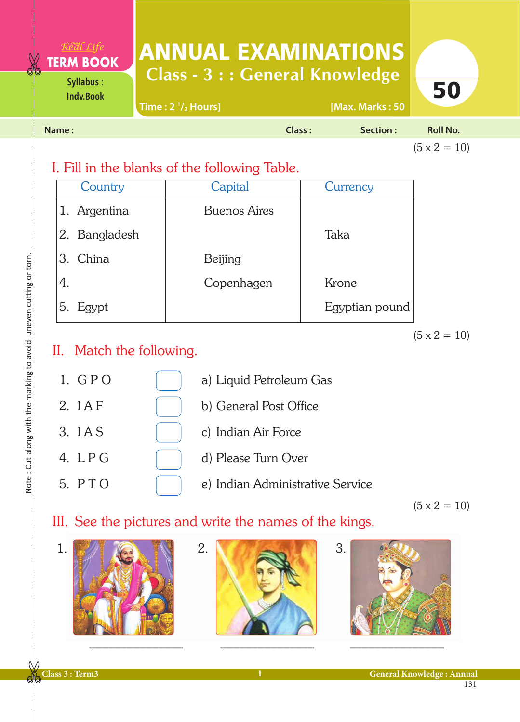| NZ<br><b>TERM BOOK</b><br>ðb<br>Syllabus:<br><b>Indv.Book</b> | <b>ANNUAL EXAMINATIONS</b><br><b>Class - 3 : : General Knowledge</b><br>[Max. Marks: 50<br>Time: $2 \frac{1}{2}$ Hours] |               | 50       |                     |
|---------------------------------------------------------------|-------------------------------------------------------------------------------------------------------------------------|---------------|----------|---------------------|
| Name:                                                         |                                                                                                                         | <b>Class:</b> | Section: | <b>Roll No.</b>     |
|                                                               |                                                                                                                         |               |          | $(5 \times 2 = 10)$ |

## I. Fill in the blanks of the following Table.

| Country       | Capital             | Currency       |  |  |
|---------------|---------------------|----------------|--|--|
| 1. Argentina  | <b>Buenos Aires</b> |                |  |  |
| 2. Bangladesh |                     | Taka           |  |  |
| 3. China      | Beijing             |                |  |  |
| 4.            | Copenhagen          | Krone          |  |  |
| 5. Egypt      |                     | Egyptian pound |  |  |

 $(5 \times 2 = 10)$ 

## II. Match the following.

1. G P O  $\vert$  a) Liquid Petroleum Gas 2. I A F b) General Post Office 3. I A S (c) Indian Air Force 4. L P G (a) Please Turn Over 5. P T O  $\left( \begin{array}{ccc} \phantom{0} \end{array} \right)$  e) Indian Administrative Service

 $(5 \times 2 = 10)$ 

III. See the pictures and write the names of the kings.







Note : Cut along with the marking to avoid uneven cutting or torn. Note : Cut along with the marking to avoid uneven cutting or torn.